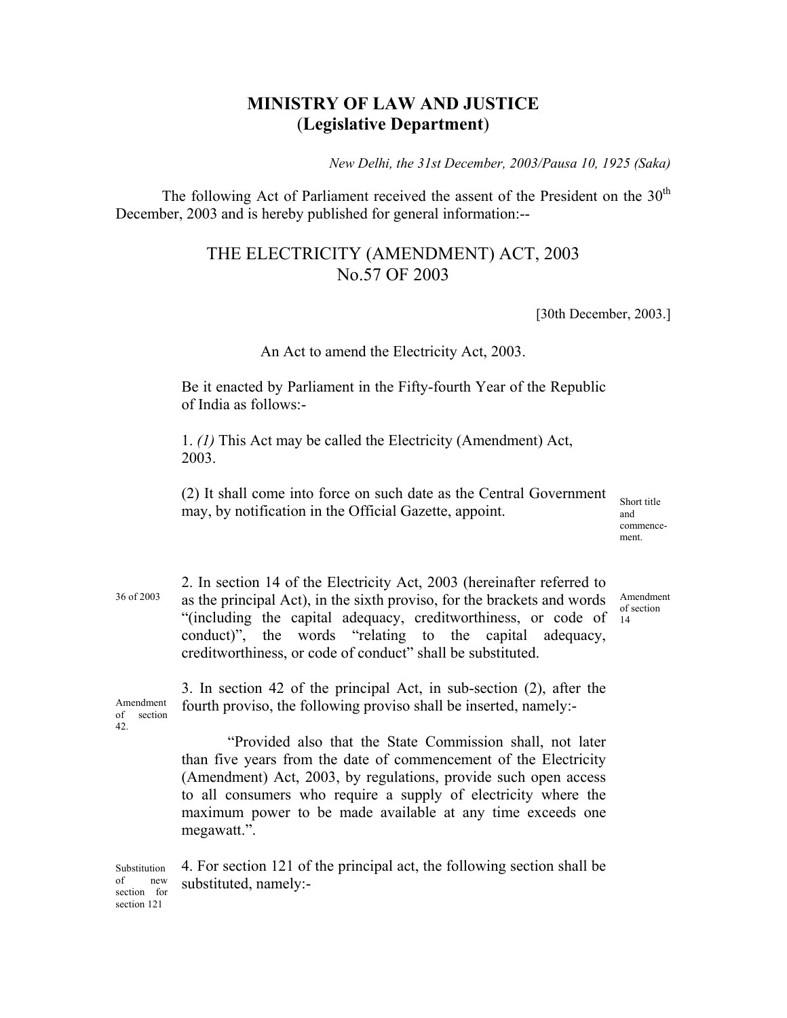## **MINISTRY OF LAW AND JUSTICE**  (**Legislative Department**)

*New Delhi, the 31st December, 2003/Pausa 10, 1925 (Saka)* 

The following Act of Parliament received the assent of the President on the  $30<sup>th</sup>$ December, 2003 and is hereby published for general information:--

## THE ELECTRICITY (AMENDMENT) ACT, 2003 No.57 OF 2003

[30th December, 2003.]

## An Act to amend the Electricity Act, 2003.

Be it enacted by Parliament in the Fifty-fourth Year of the Republic of India as follows:-

1. *(1)* This Act may be called the Electricity (Amendment) Act, 2003.

(2) It shall come into force on such date as the Central Government may, by notification in the Official Gazette, appoint.

Short title and commencement.

Amendment of section 14

36 of 2003

2. In section 14 of the Electricity Act, 2003 (hereinafter referred to as the principal Act), in the sixth proviso, for the brackets and words "(including the capital adequacy, creditworthiness, or code of conduct)", the words "relating to the capital adequacy, creditworthiness, or code of conduct" shall be substituted.

Amendment of section 42.

3. In section 42 of the principal Act, in sub-section (2), after the fourth proviso, the following proviso shall be inserted, namely:-

 "Provided also that the State Commission shall, not later than five years from the date of commencement of the Electricity (Amendment) Act, 2003, by regulations, provide such open access to all consumers who require a supply of electricity where the maximum power to be made available at any time exceeds one megawatt.".

Substitution of new section for section 121 4. For section 121 of the principal act, the following section shall be substituted, namely:-